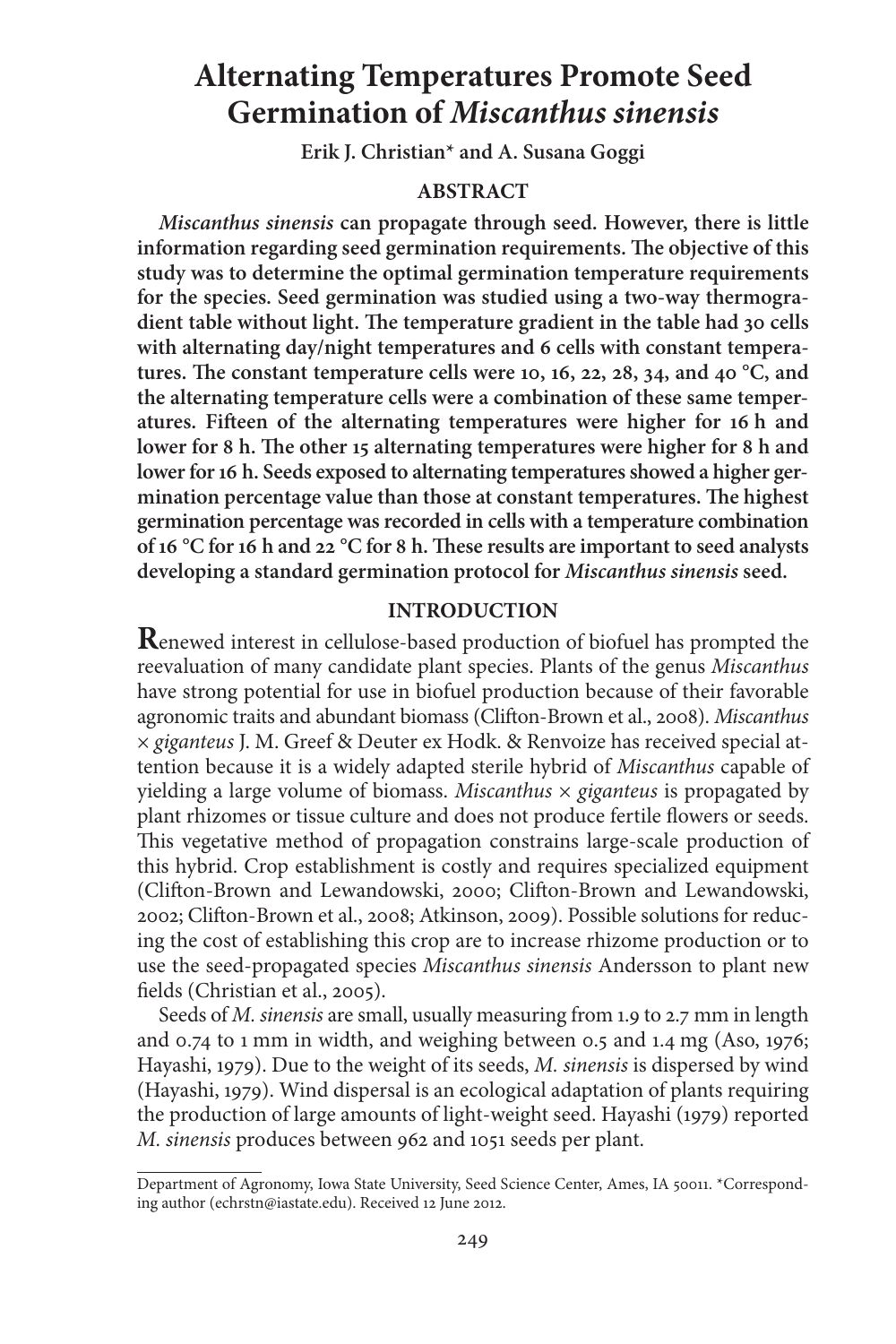# **Alternating Temperatures Promote Seed Germination of** *Miscanthus sinensis*

**Erik J. Christian\* and A. Susana Goggi**

## **ABSTRACT**

*Miscanthus sinensis* **can propagate through seed. However, there is little** information regarding seed germination requirements. The objective of this **study was to determine the optimal germination temperature requirements for the species. Seed germination was studied using a two-way thermogra**dient table without light. The temperature gradient in the table had 30 cells **with alternating day/night temperatures and 6 cells with constant tempera**tures. The constant temperature cells were 10, 16, 22, 28, 34, and 40  $^{\circ}$ C, and **the alternating temperature cells were a combination of these same temperatures. Fieen of the alternating temperatures were higher for 16 h and** lower for 8 h. The other 15 alternating temperatures were higher for 8 h and **lower for 16 h. Seeds exposed to alternating temperatures showed a higher ger**mination percentage value than those at constant temperatures. The highest **germination percentage was recorded in cells with a temperature combination of 16 °C for 16 h and 22 °C for 8 h. These results are important to seed analysts developing a standard germination protocol for** *Miscanthus sinensis* **seed.**

### **INTRODUCTION**

**R**enewed interest in cellulose-based production of biofuel has prompted the reevaluation of many candidate plant species. Plants of the genus Miscanthus have strong potential for use in biofuel production because of their favorable agronomic traits and abundant biomass (Clifton-Brown et al., 2008). Miscanthus × giganteus J. M. Greef & Deuter ex Hodk. & Renvoize has received special attention because it is a widely adapted sterile hybrid of Miscanthus capable of yielding a large volume of biomass. *Miscanthus*  $\times$  *giganteus* is propagated by plant rhizomes or tissue culture and does not produce fertile flowers or seeds. This vegetative method of propagation constrains large-scale production of this hybrid. Crop establishment is costly and requires specialized equipment (Clifton-Brown and Lewandowski, 2000; Clifton-Brown and Lewandowski, 2002; Clifton-Brown et al., 2008; Atkinson, 2009). Possible solutions for reducing the cost of establishing this crop are to increase rhizome production or to use the seed-propagated species Miscanthus sinensis Andersson to plant new fields (Christian et al., 2005).

Seeds of *M. sinensis* are small, usually measuring from 1.9 to 2.7 mm in length and 0.74 to 1 mm in width, and weighing between 0.5 and 1.4 mg (Aso, 1976; Hayashi, 1979). Due to the weight of its seeds, M. sinensis is dispersed by wind (Hayashi, 1979). Wind dispersal is an ecological adaptation of plants requiring the production of large amounts of light-weight seed. Hayashi (1979) reported M. sinensis produces between 962 and 1051 seeds per plant.

Department of Agronomy, Iowa State University, Seed Science Center, Ames, IA 50011. \*Corresponding author (echrstn@iastate.edu). Received 12 June 2012.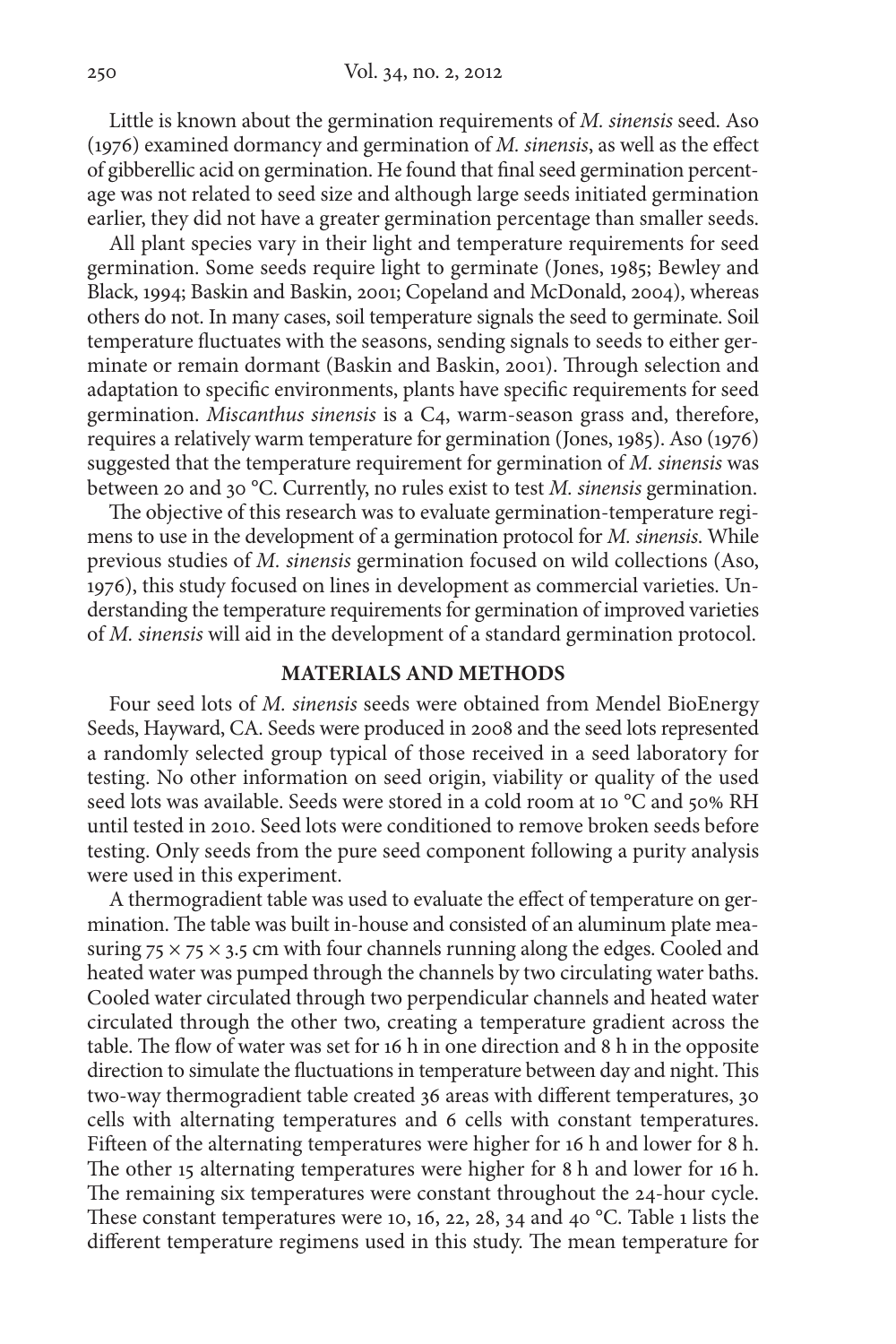Little is known about the germination requirements of M. sinensis seed. Aso (1976) examined dormancy and germination of M. sinensis, as well as the effect of gibberellic acid on germination. He found that final seed germination percentage was not related to seed size and although large seeds initiated germination earlier, they did not have a greater germination percentage than smaller seeds.

All plant species vary in their light and temperature requirements for seed germination. Some seeds require light to germinate (Jones, 1985; Bewley and Black, 1994; Baskin and Baskin, 2001; Copeland and McDonald, 2004), whereas others do not. In many cases, soil temperature signals the seed to germinate. Soil temperature fluctuates with the seasons, sending signals to seeds to either germinate or remain dormant (Baskin and Baskin, 2001). Through selection and adaptation to specific environments, plants have specific requirements for seed germination. Miscanthus sinensis is a C4, warm-season grass and, therefore, requires a relatively warm temperature for germination (Jones, 1985). Aso (1976) suggested that the temperature requirement for germination of M. sinensis was between 20 and 30 °C. Currently, no rules exist to test *M. sinensis* germination.

The objective of this research was to evaluate germination-temperature regi mens to use in the development of a germination protocol for M. sinensis. While previous studies of M. sinensis germination focused on wild collections (Aso, 1976), this study focused on lines in development as commercial varieties. Un der standing the temperature requirements for germination of improved varieties of M. sinensis will aid in the development of a standard germination protocol.

## **MATERIALS AND METHODS**

Four seed lots of M. sinensis seeds were obtained from Mendel BioEnergy Seeds, Hayward, CA. Seeds were produced in 2008 and the seed lots represented a randomly selected group typical of those received in a seed laboratory for testing. No other information on seed origin, viability or quality of the used seed lots was available. Seeds were stored in a cold room at 10 °C and 50% RH until tested in 2010. Seed lots were conditioned to remove broken seeds before testing. Only seeds from the pure seed component following a purity analysis were used in this experiment.

A thermogradient table was used to evaluate the effect of temperature on germination. The table was built in-house and consisted of an aluminum plate measuring  $75 \times 75 \times 3.5$  cm with four channels running along the edges. Cooled and heated water was pumped through the channels by two circulating water baths. Cooled water circulated through two perpendicular channels and heated water circulated through the other two, creating a temperature gradient across the table. The flow of water was set for  $16 h$  in one direction and 8 h in the opposite direction to simulate the fluctuations in temperature between day and night. This two-way thermogradient table created 36 areas with different temperatures, 30 cells with alternating temperatures and 6 cells with constant temperatures. Fifteen of the alternating temperatures were higher for 16 h and lower for 8 h. The other 15 alternating temperatures were higher for 8 h and lower for 16 h. The remaining six temperatures were constant throughout the 24-hour cycle. These constant temperatures were 10, 16, 22, 28, 34 and 40  $^{\circ}$ C. Table 1 lists the different temperature regimens used in this study. The mean temperature for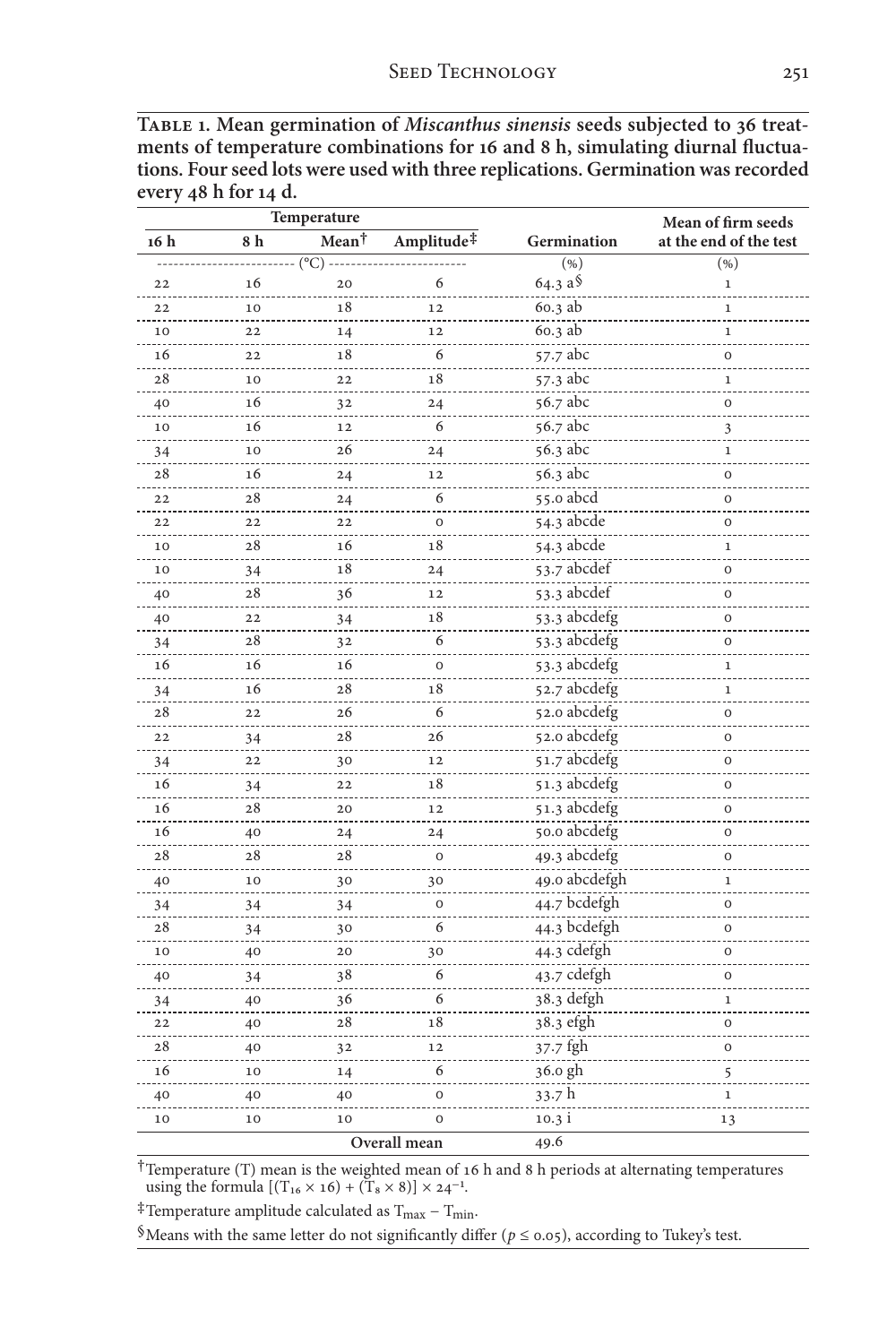| Temperature |    |                      |                        |               | Mean of firm seeds     |
|-------------|----|----------------------|------------------------|---------------|------------------------|
| 16 h        | 8h | Mean <sup>†</sup>    | Amplitude <sup>‡</sup> | Germination   | at the end of the test |
|             |    | $(^{\circ}C)$ ------ |                        | ( %)          | ( %)                   |
| 22          | 16 | 20                   | 6                      | 64.3 a \$     | $\mathbf 1$            |
| 22          | 10 | 18                   | 12                     | 60.3 ab       | $\mathbf{1}$           |
| 10          | 22 | 14                   | 12                     | 60.3 ab       | $\mathbf 1$            |
| 16          | 22 | 18                   | 6                      | 57.7 abc      | $\mathbf 0$            |
| 28          | 10 | 22                   | 18                     | 57.3 abc      | 1                      |
| 40          | 16 | 32                   | 24                     | 56.7 abc      | $\mathbf 0$            |
| 10          | 16 | 12                   | 6                      | 56.7 abc      | 3                      |
| 34          | 10 | 26                   | 24                     | 56.3 abc      | $\mathbf{1}$           |
| 28          | 16 | 24                   | 12                     | 56.3 abc      | 0                      |
| 22          | 28 | 24                   | 6                      | 55.0 abcd     | $\mathbf 0$            |
| 22          | 22 | 22                   | $\mathbf 0$            | 54.3 abcde    | $\mathbf 0$            |
| 10          | 28 | 16                   | 18                     | 54.3 abcde    | $\mathbf 1$            |
| 10          | 34 | 18                   | 24                     | 53.7 abcdef   | O                      |
| 40          | 28 | 36                   | 12                     | 53.3 abcdef   | 0                      |
| 40          | 22 | 34                   | 18                     | 53.3 abcdefg  | $\overline{O}$         |
| 34          | 28 | 3 <sub>2</sub>       | 6                      | 53.3 abcdefg  | $\mathbf 0$            |
| 16          | 16 | 16                   | $\mathbf 0$            | 53.3 abcdefg  | $\mathbf 1$            |
| 34          | 16 | 28                   | 18                     | 52.7 abcdefg  | $\mathbf 1$            |
| 28          | 22 | 26                   | 6                      | 52.0 abcdefg  | $\circ$                |
| 22          | 34 | 28                   | 26                     | 52.0 abcdefg  | $\mathbf 0$            |
| 34          | 22 | 30                   | 12                     | 51.7 abcdefg  | 0                      |
| 16          | 34 | 22                   | 18                     | 51.3 abcdefg  | 0                      |
| 16          | 28 | 20                   | 12                     | 51.3 abcdefg  | 0                      |
| 16          | 40 | 24                   | 24                     | 50.0 abcdefg  | $\mathbf 0$            |
| 28          | 28 | 28                   | $\mathbf 0$            | 49.3 abcdefg  | O                      |
| 40          | 10 | 30                   | 30                     | 49.0 abcdefgh | $\mathbf 1$            |
| 34          | 34 | 34                   | $\mathbf 0$            | 44.7 bcdefgh  | $\mathbf 0$            |
| 28          | 34 | 30                   | 6                      | 44.3 bcdefgh  | $\circ$                |
| 10          | 40 | 20                   | 30                     | 44.3 cdefgh   | $\mathbf 0$            |
| 40          | 34 | 38                   | 6                      | 43.7 cdefgh   | 0                      |
| 34          | 40 | 36                   | 6                      | 38.3 defgh    | 1                      |
| 22          | 40 | 28                   | 18                     | 38.3 efgh     | 0                      |
| 28          | 40 | 32                   | 12                     | 37.7 fgh      | $\mathbf 0$            |
| 16          | 10 | 14                   | 6                      | $36.0$ gh     | $\frac{5}{1}$          |
| 40          | 40 | 40                   | $\mathbf 0$            | 33.7h         | $\,1\,$                |
| 10          | 10 | 10                   | 0                      | 10.3 i        | 13                     |
|             |    |                      | Overall mean           | 49.6          |                        |

| TABLE 1. Mean germination of <i>Miscanthus sinensis</i> seeds subjected to 36 treat- |
|--------------------------------------------------------------------------------------|
| ments of temperature combinations for 16 and 8 h, simulating diurnal fluctua-        |
| tions. Four seed lots were used with three replications. Germination was recorded    |
| every 48 h for 14 d.                                                                 |

†Temperature (T) mean is the weighted mean of 16 h and 8 h periods at alternating temperatures using the formula  $[(T_{16} \times 16) + (T_8 \times 8)] \times 24^{-1}$ .

 $^\ddag$  Temperature amplitude calculated as T $_{\rm max}$  –  $T_{\rm min}.$ 

 $\delta$  Means with the same letter do not significantly differ (  $p \leq$  0.05), according to Tukey's test.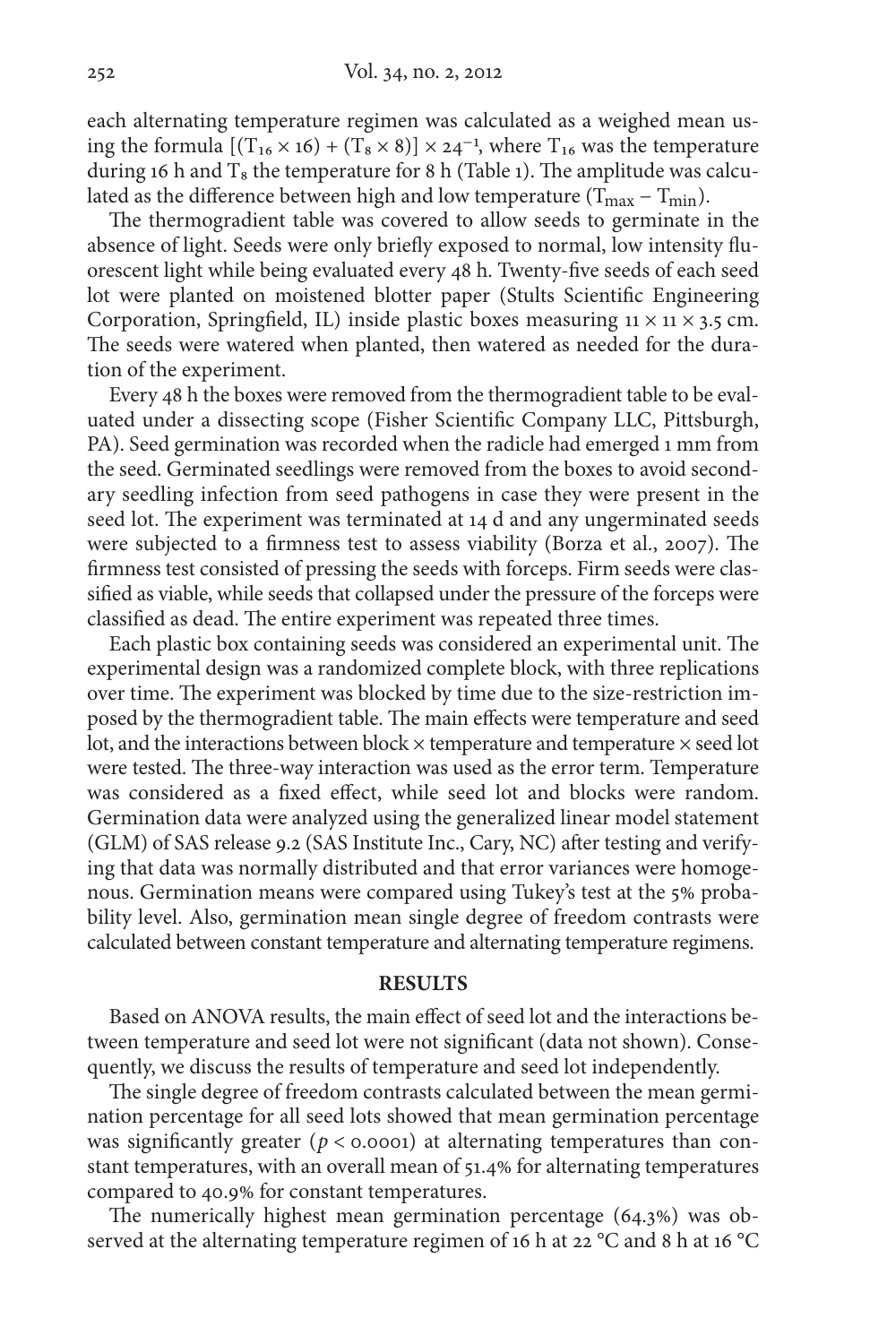each alternating temperature regimen was calculated as a weighed mean using the formula  $[(T_{16} \times 16) + (T_8 \times 8)] \times 24^{-1}$ , where  $T_{16}$  was the temperature during 16 h and  $T_8$  the temperature for 8 h (Table 1). The amplitude was calculated as the difference between high and low temperature ( $T_{max} - T_{min}$ ).

The thermogradient table was covered to allow seeds to germinate in the absence of light. Seeds were only briefly exposed to normal, low intensity fluorescent light while being evaluated every 48 h. Twenty-five seeds of each seed lot were planted on moistened blotter paper (Stults Scientific Engineering Corporation, Springfield, IL) inside plastic boxes measuring  $11 \times 11 \times 3.5$  cm. The seeds were watered when planted, then watered as needed for the duration of the experiment.

Every 48 h the boxes were removed from the thermogradient table to be evaluated under a dissecting scope (Fisher Scientific Company LLC, Pittsburgh, PA). Seed germination was recorded when the radicle had emerged 1 mm from the seed. Germinated seedlings were removed from the boxes to avoid second ary seedling infection from seed pathogens in case they were present in the seed lot. The experiment was terminated at 14 d and any ungerminated seeds were subjected to a firmness test to assess viability (Borza et al., 2007). The firmness test consisted of pressing the seeds with forceps. Firm seeds were clas sified as viable, while seeds that collapsed under the pressure of the forceps were classified as dead. The entire experiment was repeated three times.

Each plastic box containing seeds was considered an experimental unit. The experimental design was a randomized complete block, with three replications over time. The experiment was blocked by time due to the size-restriction imposed by the thermogradient table. The main effects were temperature and seed lot, and the interactions between block  $\times$  temperature and temperature  $\times$  seed lot were tested. The three-way interaction was used as the error term. Temperature was considered as a fixed effect, while seed lot and blocks were random. Germination data were analyzed using the generalized linear model statement (GLM) of SAS release 9.2 (SAS Institute Inc., Cary, NC) after testing and verify ing that data was normally distributed and that error variances were homogenous. Germination means were compared using Tukey's test at the 5% probability level. Also, germination mean single degree of freedom contrasts were calculated between constant temperature and alternating temperature regimens.

#### **RESULTS**

Based on ANOVA results, the main effect of seed lot and the interactions be tween temperature and seed lot were not significant (data not shown). Conse quently, we discuss the results of temperature and seed lot independently.

The single degree of freedom contrasts calculated between the mean germination percentage for all seed lots showed that mean germination percentage was significantly greater ( $p <$  0.0001) at alternating temperatures than constant temperatures, with an overall mean of 51.4% for alternating temperatures compared to 40.9% for constant temperatures.

The numerically highest mean germination percentage  $(64.3%)$  was observed at the alternating temperature regimen of 16 h at 22 °C and 8 h at 16 °C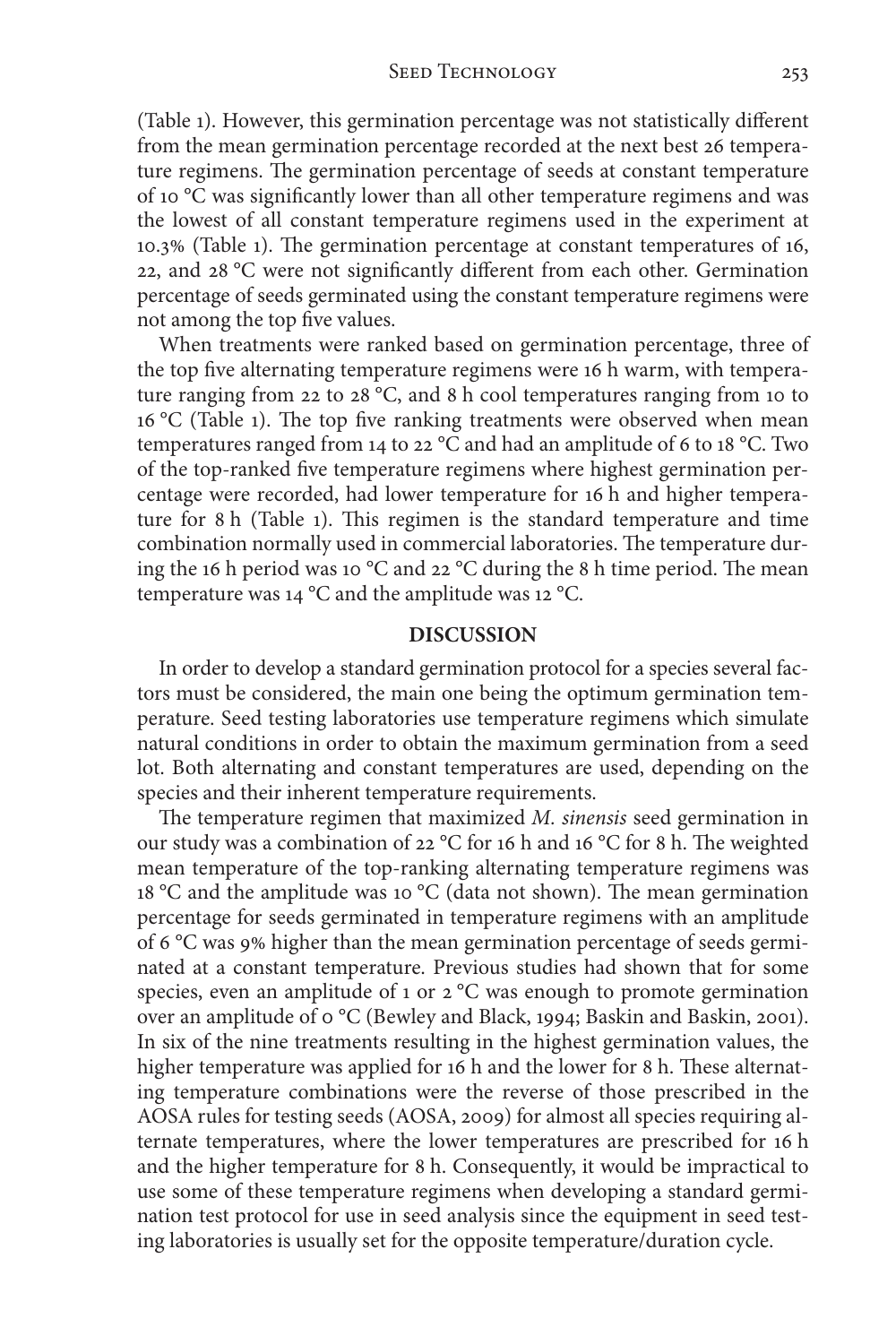(Table 1). However, this germination percentage was not statistically different from the mean germination percentage recorded at the next best 26 temperature regimens. The germination percentage of seeds at constant temperature of 10 °C was significantly lower than all other temperature regimens and was the lowest of all constant temperature regimens used in the experiment at 10.3% (Table 1). The germination percentage at constant temperatures of 16, 22, and 28 °C were not significantly different from each other. Germination percentage of seeds germinated using the constant temperature regimens were not among the top five values.

When treatments were ranked based on germination percentage, three of the top five alternating temperature regimens were 16 h warm, with temperature ranging from 22 to 28 °C, and 8 h cool temperatures ranging from 10 to 16 °C (Table 1). The top five ranking treatments were observed when mean temperatures ranged from 14 to 22 °C and had an amplitude of 6 to 18 °C. Two of the top-ranked five temperature regimens where highest germination percentage were recorded, had lower temperature for 16 h and higher temperature for 8 h (Table 1). This regimen is the standard temperature and time combination normally used in commercial laboratories. The temperature during the 16 h period was 10 °C and 22 °C during the 8 h time period. The mean temperature was 14 °C and the amplitude was 12 °C.

#### **DISCUSSION**

In order to develop a standard germination protocol for a species several factors must be considered, the main one being the optimum germination temperature. Seed testing laboratories use temperature regimens which simulate natural conditions in order to obtain the maximum germination from a seed lot. Both alternating and constant temperatures are used, depending on the species and their inherent temperature requirements.

The temperature regimen that maximized  $M$ . sinensis seed germination in our study was a combination of 22 °C for 16 h and 16 °C for 8 h. The weighted mean temperature of the top-ranking alternating temperature regimens was 18 °C and the amplitude was 10 °C (data not shown). The mean germination percentage for seeds germinated in temperature regimens with an amplitude of 6 °C was 9% higher than the mean germination percentage of seeds germinated at a constant temperature. Previous studies had shown that for some species, even an amplitude of 1 or 2 °C was enough to promote germination over an amplitude of 0 °C (Bewley and Black, 1994; Baskin and Baskin, 2001). In six of the nine treatments resulting in the highest germination values, the higher temperature was applied for 16 h and the lower for 8 h. These alternating temperature combinations were the reverse of those prescribed in the AOSA rules for testing seeds (AOSA, 2009) for almost all species requiring alternate temperatures, where the lower temperatures are prescribed for 16 h and the higher temperature for 8 h. Consequently, it would be impractical to use some of these temperature regimens when developing a standard germination test protocol for use in seed analysis since the equipment in seed testing laboratories is usually set for the opposite temperature/duration cycle.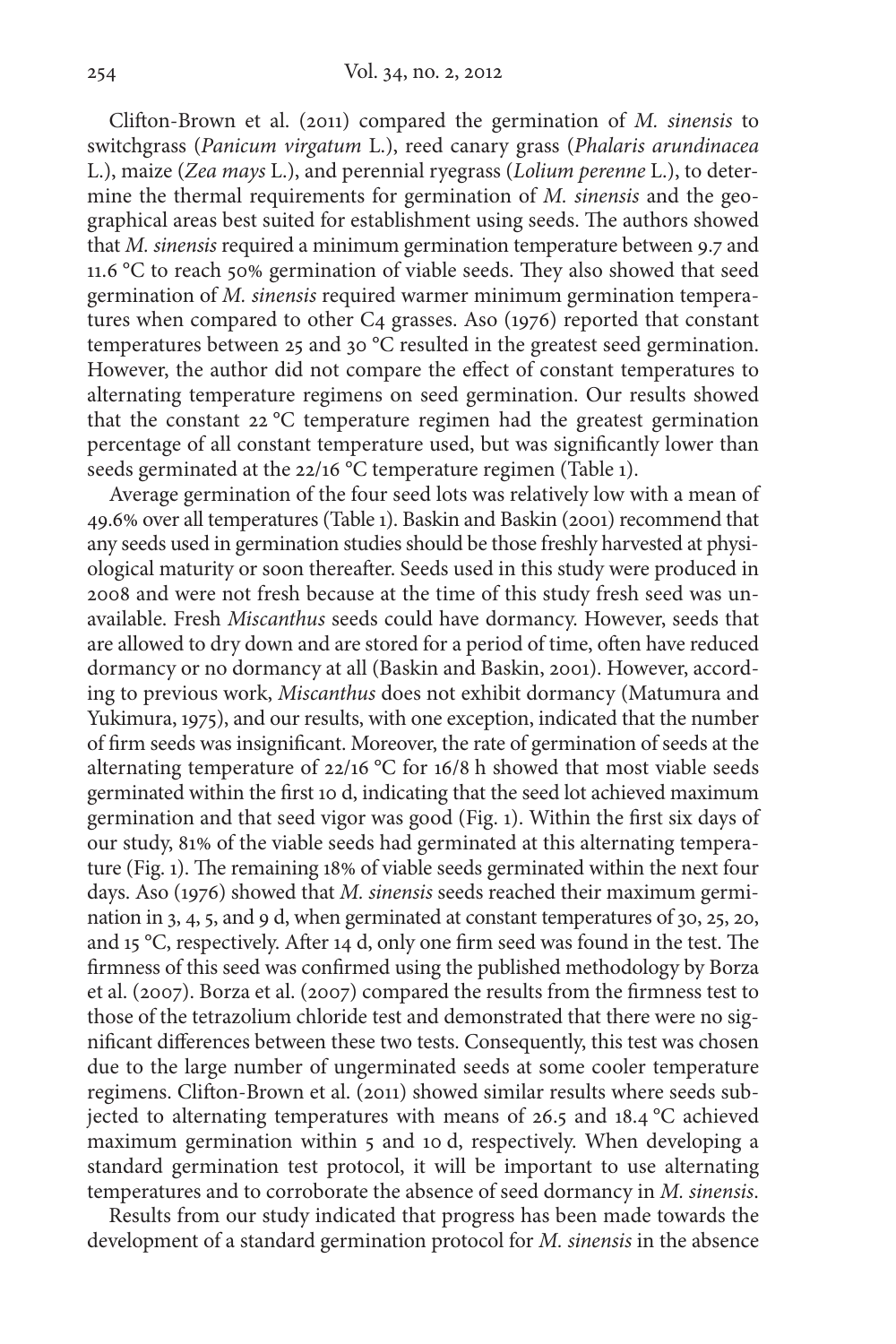Clifton-Brown et al. (2011) compared the germination of  $M$ . sinensis to switchgrass (Panicum virgatum L.), reed canary grass (Phalaris arundinacea L.), maize (Zea mays L.), and perennial ryegrass (Lolium perenne L.), to determine the thermal requirements for germination of M. sinensis and the geographical areas best suited for establishment using seeds. The authors showed that M. sinensis required a minimum germination temperature between 9.7 and 11.6  $^{\circ}$ C to reach 50% germination of viable seeds. They also showed that seed germination of M. sinensis required warmer minimum germination temperatures when compared to other C4 grasses. Aso (1976) reported that constant temperatures between 25 and 30 °C resulted in the greatest seed germination. However, the author did not compare the effect of constant temperatures to alternating temperature regimens on seed germination. Our results showed that the constant 22 °C temperature regimen had the greatest germination percentage of all constant temperature used, but was significantly lower than seeds germinated at the 22/16 °C temperature regimen (Table 1).

Average germination of the four seed lots was relatively low with a mean of 49.6% over all temperatures (Table 1). Baskin and Baskin (2001) recommend that any seeds used in germination studies should be those freshly harvested at physi ological maturity or soon thereafter. Seeds used in this study were produced in 2008 and were not fresh because at the time of this study fresh seed was unavailable. Fresh Miscanthus seeds could have dormancy. However, seeds that are allowed to dry down and are stored for a period of time, often have reduced dormancy or no dormancy at all (Baskin and Baskin, 2001). However, according to previous work, Miscanthus does not exhibit dormancy (Matumura and Yukimura, 1975), and our results, with one exception, indicated that the number of firm seeds was insignificant. Moreover, the rate of germination of seeds at the alternating temperature of 22/16 °C for 16/8 h showed that most viable seeds germinated within the first 10 d, indicating that the seed lot achieved maximum germination and that seed vigor was good (Fig. 1). Within the first six days of our study, 81% of the viable seeds had germinated at this alternating temperature (Fig. 1). The remaining 18% of viable seeds germinated within the next four days. Aso (1976) showed that M. sinensis seeds reached their maximum germination in 3, 4, 5, and 9 d, when germinated at constant temperatures of 30, 25, 20, and 15 °C, respectively. After 14 d, only one firm seed was found in the test. The firmness of this seed was confirmed using the published methodology by Borza et al. (2007). Borza et al. (2007) compared the results from the firmness test to those of the tetrazolium chloride test and demonstrated that there were no significant differences between these two tests. Consequently, this test was chosen due to the large number of ungerminated seeds at some cooler temperature regimens. Clifton-Brown et al. (2011) showed similar results where seeds subjected to alternating temperatures with means of 26.5 and 18.4 °C achieved maximum germination within 5 and 10 d, respectively. When developing a standard germination test protocol, it will be important to use alternating temperatures and to corroborate the absence of seed dormancy in M. sinensis.

Results from our study indicated that progress has been made towards the development of a standard germination protocol for M. sinensis in the absence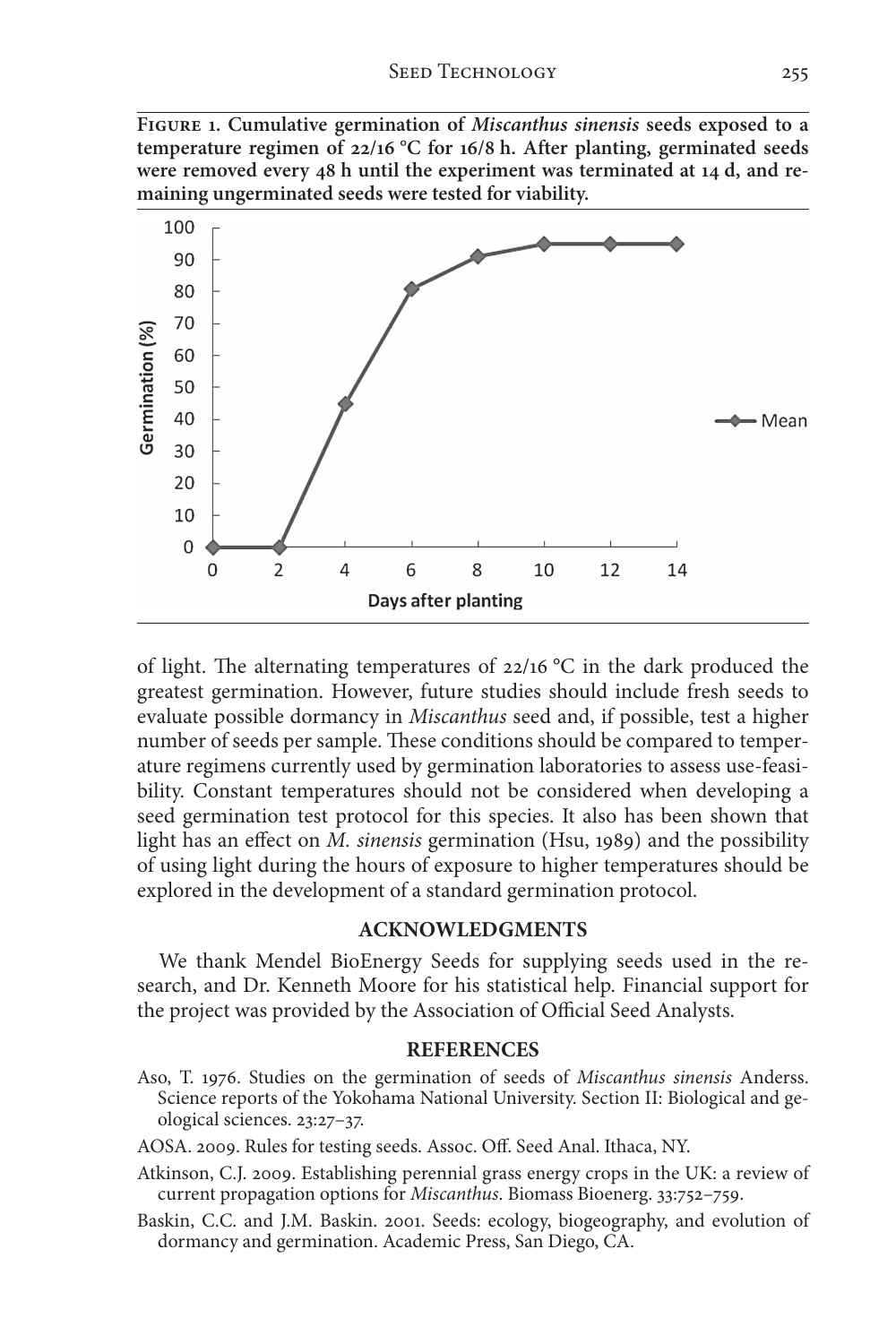**Figure 1. Cumulative germination of** *Miscanthus sinensis* **seeds exposed to a temperature regimen of 22/16 °C for 16/8 h. After planting, germinated seeds were removed every 48 h until the experiment was terminated at 14 d, and remaining ungerminated seeds were tested for viability.**



of light. The alternating temperatures of  $22/16$  °C in the dark produced the greatest germination. However, future studies should include fresh seeds to evaluate possible dormancy in Miscanthus seed and, if possible, test a higher number of seeds per sample. These conditions should be compared to temperature regimens currently used by germination laboratories to assess use-feasibility. Constant temperatures should not be considered when developing a seed germination test protocol for this species. It also has been shown that light has an effect on M. sinensis germination (Hsu, 1989) and the possibility of using light during the hours of exposure to higher temperatures should be explored in the development of a standard germination protocol.

### **ACKNOWLEDGMENTS**

We thank Mendel BioEnergy Seeds for supplying seeds used in the research, and Dr. Kenneth Moore for his statistical help. Financial support for the project was provided by the Association of Official Seed Analysts.

#### **REFERENCES**

Aso, T. 1976. Studies on the germination of seeds of Miscanthus sinensis Anderss. Science reports of the Yokohama National University. Section II: Biological and geological sciences. 23:27–37.

AOSA. 2009. Rules for testing seeds. Assoc. Off. Seed Anal. Ithaca, NY.

- Atkinson, C.J. 2009. Establishing perennial grass energy crops in the UK: a review of current propagation options for Miscanthus. Biomass Bioenerg. 33:752–759.
- Baskin, C.C. and J.M. Baskin. 2001. Seeds: ecology, biogeography, and evolution of dormancy and germination. Academic Press, San Diego, CA.